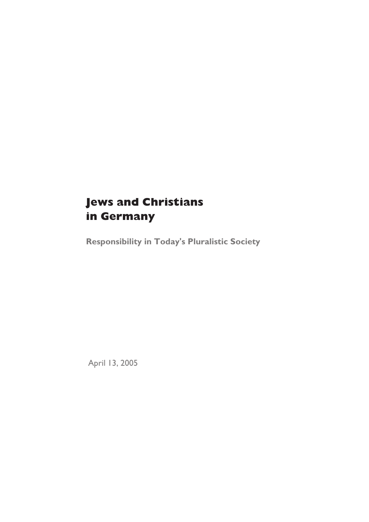# **Jews and Christians in Germany**

**Responsibility in Today's Pluralistic Society**

April 13, 2005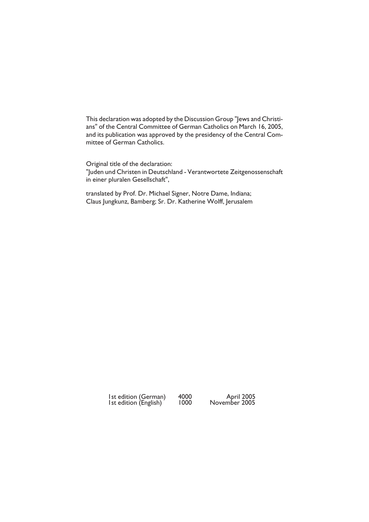This declaration was adopted by the Discussion Group "Jews and Christians" of the Central Committee of German Catholics on March 16, 2005, and its publication was approved by the presidency of the Central Committee of German Catholics.

Original title of the declaration: "Juden und Christen in Deutschland - Verantwortete Zeitgenossenschaft in einer pluralen Gesellschaft",

translated by Prof. Dr. Michael Signer, Notre Dame, Indiana; Claus Jungkunz, Bamberg; Sr. Dr. Katherine Wolff, Jerusalem

> 1st edition (German) 4000 April 2005 1st edition (English) 1000 November 2005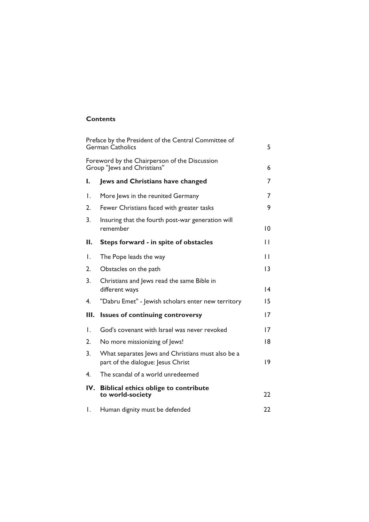### **Contents**

| Preface by the President of the Central Committee of<br><b>German Catholics</b> |                                                                                         | 5  |
|---------------------------------------------------------------------------------|-----------------------------------------------------------------------------------------|----|
| Foreword by the Chairperson of the Discussion<br>Group "Jews and Christians"    |                                                                                         | 6  |
| I.                                                                              | <b>Jews and Christians have changed</b>                                                 | 7  |
| Ι.                                                                              | More Jews in the reunited Germany                                                       | 7  |
| 2.                                                                              | Fewer Christians faced with greater tasks                                               | 9  |
| 3.                                                                              | Insuring that the fourth post-war generation will<br>remember                           | 10 |
| Н.                                                                              | Steps forward - in spite of obstacles                                                   | П  |
| I.                                                                              | The Pope leads the way                                                                  | Н  |
| 2.                                                                              | Obstacles on the path                                                                   | 3  |
| 3 <sub>1</sub>                                                                  | Christians and Jews read the same Bible in<br>different ways                            | 14 |
| 4.                                                                              | "Dabru Emet" - Jewish scholars enter new territory                                      | 15 |
| Ш.                                                                              | <b>Issues of continuing controversy</b>                                                 | 17 |
| Ι.                                                                              | God's covenant with Israel was never revoked                                            | 17 |
| 2.                                                                              | No more missionizing of Jews!                                                           | 18 |
| 3.                                                                              | What separates Jews and Christians must also be a<br>part of the dialogue: Jesus Christ | 19 |
| 4.                                                                              | The scandal of a world unredeemed                                                       |    |
|                                                                                 | IV. Biblical ethics oblige to contribute<br>to world-society                            | 22 |
| Ι.                                                                              | Human dignity must be defended                                                          | 22 |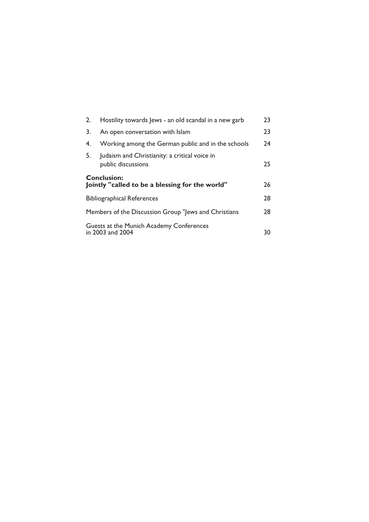| 2.                                                                    | Hostility towards Jews - an old scandal in a new garb               | 23 |
|-----------------------------------------------------------------------|---------------------------------------------------------------------|----|
| 3.                                                                    | An open conversation with Islam                                     | 23 |
| 4.                                                                    | Working among the German public and in the schools                  | 24 |
| 5.                                                                    | Judaism and Christianity: a critical voice in<br>public discussions | 25 |
| <b>Conclusion:</b><br>Jointly "called to be a blessing for the world" |                                                                     | 26 |
| <b>Bibliographical References</b>                                     |                                                                     | 28 |
| Members of the Discussion Group "Jews and Christians                  |                                                                     | 28 |
| Guests at the Munich Academy Conferences<br>in 2003 and 2004          |                                                                     | 30 |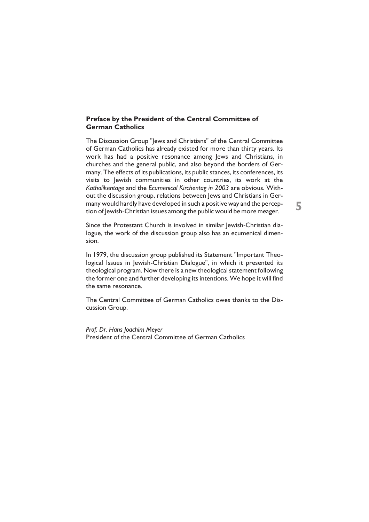### **Preface by the President of the Central Committee of German Catholics**

The Discussion Group "Jews and Christians" of the Central Committee of German Catholics has already existed for more than thirty years. Its work has had a positive resonance among Jews and Christians, in churches and the general public, and also beyond the borders of Germany. The effects of its publications, its public stances, its conferences, its visits to Jewish communities in other countries, its work at the *Katholikentage* and the *Ecumenical Kirchentag in 2003* are obvious. Without the discussion group, relations between Jews and Christians in Germany would hardly have developed in such a positive way and the perception of Jewish-Christian issues among the public would be more meager.

**5**

Since the Protestant Church is involved in similar Jewish-Christian dialogue, the work of the discussion group also has an ecumenical dimension.

In 1979, the discussion group published its Statement "Important Theological Issues in Jewish-Christian Dialogue", in which it presented its theological program. Now there is a new theological statement following the former one and further developing its intentions. We hope it will find the same resonance.

The Central Committee of German Catholics owes thanks to the Discussion Group.

*Prof. Dr. Hans Joachim Meyer* President of the Central Committee of German Catholics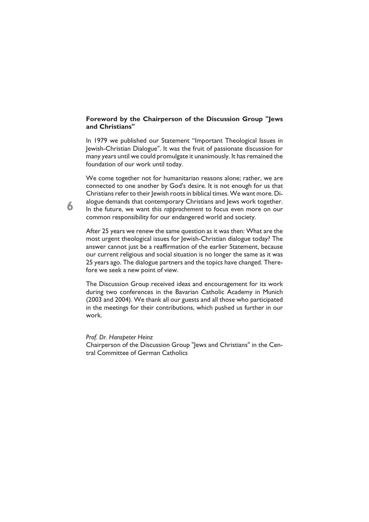### **Foreword by the Chairperson of the Discussion Group "Jews and Christians"**

In 1979 we published our Statement "Important Theological Issues in Jewish-Christian Dialogue". It was the fruit of passionate discussion for many years until we could promulgate it unanimously. It has remained the foundation of our work until today.

We come together not for humanitarian reasons alone; rather, we are connected to one another by God's desire. It is not enough for us that Christians refer to their Jewish roots in biblical times. We want more. Dialogue demands that contemporary Christians and Jews work together. In the future, we want this *rapprochement* to focus even more on our common responsibility for our endangered world and society.

After 25 years we renew the same question as it was then: What are the most urgent theological issues for Jewish-Christian dialogue today? The answer cannot just be a reaffirmation of the earlier Statement, because our current religious and social situation is no longer the same as it was 25 years ago. The dialogue partners and the topics have changed. Therefore we seek a new point of view.

The Discussion Group received ideas and encouragement for its work during two conferences in the Bavarian Catholic Academy in Munich (2003 and 2004). We thank all our guests and all those who participated in the meetings for their contributions, which pushed us further in our work.

*Prof. Dr. Hanspeter Heinz*

Chairperson of the Discussion Group "Jews and Christians" in the Central Committee of German Catholics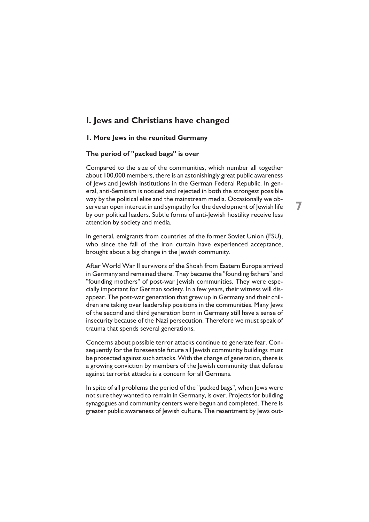### **I. Jews and Christians have changed**

### **1. More Jews in the reunited Germany**

### **The period of "packed bags" is over**

Compared to the size of the communities, which number all together about 100,000 members, there is an astonishingly great public awareness of Jews and Jewish institutions in the German Federal Republic. In general, anti-Semitism is noticed and rejected in both the strongest possible way by the political elite and the mainstream media. Occasionally we observe an open interest in and sympathy for the development of Jewish life by our political leaders. Subtle forms of anti-Jewish hostility receive less attention by society and media.

In general, emigrants from countries of the former Soviet Union (FSU), who since the fall of the iron curtain have experienced acceptance, brought about a big change in the Jewish community.

After World War II survivors of the Shoah from Eastern Europe arrived in Germany and remained there. They became the "founding fathers" and "founding mothers" of post-war lewish communities. They were especially important for German society. In a few years, their witness will disappear. The post-war generation that grew up in Germany and their children are taking over leadership positions in the communities. Many Jews of the second and third generation born in Germany still have a sense of insecurity because of the Nazi persecution. Therefore we must speak of trauma that spends several generations.

Concerns about possible terror attacks continue to generate fear. Consequently for the foreseeable future all Jewish community buildings must be protected against such attacks. With the change of generation, there is a growing conviction by members of the Jewish community that defense against terrorist attacks is a concern for all Germans.

In spite of all problems the period of the "packed bags", when Jews were not sure they wanted to remain in Germany, is over. Projects for building synagogues and community centers were begun and completed. There is greater public awareness of Jewish culture. The resentment by Jews out-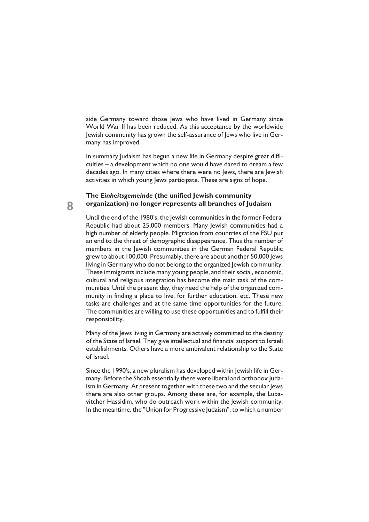side Germany toward those Jews who have lived in Germany since World War II has been reduced. As this acceptance by the worldwide Jewish community has grown the self-assurance of Jews who live in Germany has improved.

In summary Judaism has begun a new life in Germany despite great difficulties – a development which no one would have dared to dream a few decades ago. In many cities where there were no Jews, there are Jewish activities in which young Jews participate. These are signs of hope.

### **The** *Einheitsgemeinde* **(the unified Jewish community organization) no longer represents all branches of Judaism**

Until the end of the 1980's, the Jewish communities in the former Federal Republic had about 25,000 members. Many Jewish communities had a high number of elderly people. Migration from countries of the FSU put an end to the threat of demographic disappearance. Thus the number of members in the Jewish communities in the German Federal Republic grew to about 100,000. Presumably, there are about another 50,000 Jews living in Germany who do not belong to the organized Jewish community. These immigrants include many young people, and their social, economic, cultural and religious integration has become the main task of the communities. Until the present day, they need the help of the organized community in finding a place to live, for further education, etc. These new tasks are challenges and at the same time opportunities for the future. The communities are willing to use these opportunities and to fulfill their responsibility.

Many of the Jews living in Germany are actively committed to the destiny of the State of Israel. They give intellectual and financial support to Israeli establishments. Others have a more ambivalent relationship to the State of Israel.

Since the 1990's, a new pluralism has developed within Jewish life in Germany. Before the Shoah essentially there were liberal and orthodox Judaism in Germany. At present together with these two and the secular lews there are also other groups. Among these are, for example, the Lubavitcher Hassidim, who do outreach work within the Jewish community. In the meantime, the "Union for Progressive Judaism", to which a number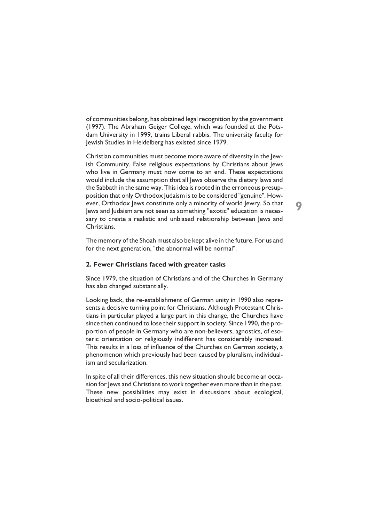of communities belong, has obtained legal recognition by the government (1997). The Abraham Geiger College, which was founded at the Potsdam University in 1999, trains Liberal rabbis. The university faculty for Jewish Studies in Heidelberg has existed since 1979.

Christian communities must become more aware of diversity in the Jewish Community. False religious expectations by Christians about Jews who live in Germany must now come to an end. These expectations would include the assumption that all Jews observe the dietary laws and the Sabbath in the same way. This idea is rooted in the erroneous presupposition that only Orthodox Judaism is to be considered "genuine". However, Orthodox Jews constitute only a minority of world Jewry. So that Jews and Judaism are not seen as something "exotic" education is necessary to create a realistic and unbiased relationship between Jews and Christians.

**9**

The memory of the Shoah must also be kept alive in the future. For us and for the next generation, "the abnormal will be normal".

### **2. Fewer Christians faced with greater tasks**

Since 1979, the situation of Christians and of the Churches in Germany has also changed substantially.

Looking back, the re-establishment of German unity in 1990 also represents a decisive turning point for Christians. Although Protestant Christians in particular played a large part in this change, the Churches have since then continued to lose their support in society. Since 1990, the proportion of people in Germany who are non-believers, agnostics, of esoteric orientation or religiously indifferent has considerably increased. This results in a loss of influence of the Churches on German society, a phenomenon which previously had been caused by pluralism, individualism and secularization.

In spite of all their differences, this new situation should become an occasion for Jews and Christians to work together even more than in the past. These new possibilities may exist in discussions about ecological, bioethical and socio-political issues.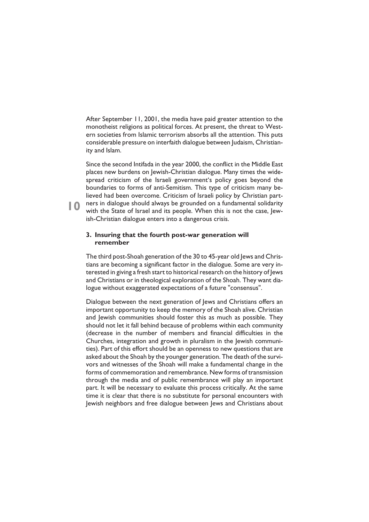After September 11, 2001, the media have paid greater attention to the monotheist religions as political forces. At present, the threat to Western societies from Islamic terrorism absorbs all the attention. This puts considerable pressure on interfaith dialogue between Judaism, Christianity and Islam.

Since the second Intifada in the year 2000, the conflict in the Middle East places new burdens on Jewish-Christian dialogue. Many times the widespread criticism of the Israeli government's policy goes beyond the boundaries to forms of anti-Semitism. This type of criticism many believed had been overcome. Criticism of Israeli policy by Christian partners in dialogue should always be grounded on a fundamental solidarity with the State of Israel and its people. When this is not the case, Jewish-Christian dialogue enters into a dangerous crisis.

### **3. Insuring that the fourth post-war generation will remember**

The third post-Shoah generation of the 30 to 45-year old Jews and Christians are becoming a significant factor in the dialogue. Some are very interested in giving a fresh start to historical research on the history of Jews and Christians or in theological exploration of the Shoah. They want dialogue without exaggerated expectations of a future "consensus".

Dialogue between the next generation of Jews and Christians offers an important opportunity to keep the memory of the Shoah alive. Christian and Jewish communities should foster this as much as possible. They should not let it fall behind because of problems within each community (decrease in the number of members and financial difficulties in the Churches, integration and growth in pluralism in the Jewish communities). Part of this effort should be an openness to new questions that are asked about the Shoah by the younger generation. The death of the survivors and witnesses of the Shoah will make a fundamental change in the forms of commemoration and remembrance. New forms of transmission through the media and of public remembrance will play an important part. It will be necessary to evaluate this process critically. At the same time it is clear that there is no substitute for personal encounters with Jewish neighbors and free dialogue between Jews and Christians about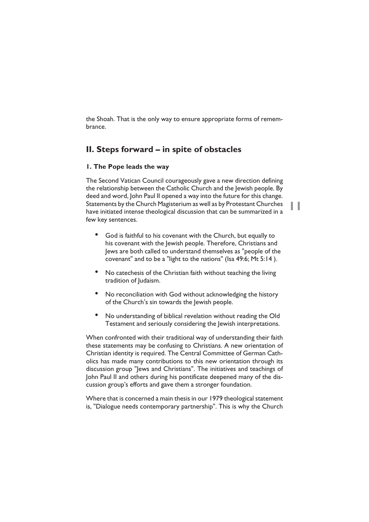the Shoah. That is the only way to ensure appropriate forms of remembrance.

### **II. Steps forward – in spite of obstacles**

### **1. The Pope leads the way**

The Second Vatican Council courageously gave a new direction defining the relationship between the Catholic Church and the Jewish people. By deed and word, John Paul II opened a way into the future for this change. Statements by the Church Magisterium as well as by Protestant Churches have initiated intense theological discussion that can be summarized in a few key sentences.

**11**

- God is faithful to his covenant with the Church, but equally to his covenant with the lewish people. Therefore, Christians and Jews are both called to understand themselves as "people of the covenant" and to be a "light to the nations" (Isa 49:6; Mt 5:14 ).
- No catechesis of the Christian faith without teaching the living tradition of Judaism.
- No reconciliation with God without acknowledging the history of the Church's sin towards the Jewish people.
- No understanding of biblical revelation without reading the Old Testament and seriously considering the Jewish interpretations.

When confronted with their traditional way of understanding their faith these statements may be confusing to Christians. A new orientation of Christian identity is required. The Central Committee of German Catholics has made many contributions to this new orientation through its discussion group "Jews and Christians". The initiatives and teachings of John Paul II and others during his pontificate deepened many of the discussion group's efforts and gave them a stronger foundation.

Where that is concerned a main thesis in our 1979 theological statement is, "Dialogue needs contemporary partnership". This is why the Church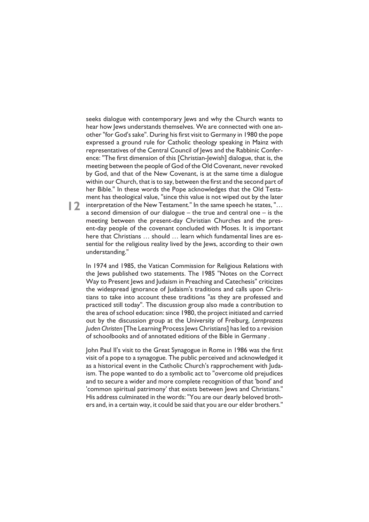seeks dialogue with contemporary Jews and why the Church wants to hear how Jews understands themselves. We are connected with one another "for God's sake". During his first visit to Germany in 1980 the pope expressed a ground rule for Catholic theology speaking in Mainz with representatives of the Central Council of Jews and the Rabbinic Conference: "The first dimension of this [Christian-Jewish] dialogue, that is, the meeting between the people of God of the Old Covenant, never revoked by God, and that of the New Covenant, is at the same time a dialogue within our Church, that is to say, between the first and the second part of her Bible." In these words the Pope acknowledges that the Old Testament has theological value, "since this value is not wiped out by the later

**12** interpretation of the New Testament." In the same speech he states, "... a second dimension of our dialogue – the true and central one – is the meeting between the present-day Christian Churches and the present-day people of the covenant concluded with Moses. It is important here that Christians ... should ... learn which fundamental lines are essential for the religious reality lived by the Jews, according to their own understanding."

In 1974 and 1985, the Vatican Commission for Religious Relations with the Jews published two statements. The 1985 "Notes on the Correct Way to Present Jews and Judaism in Preaching and Catechesis" criticizes the widespread ignorance of Judaism's traditions and calls upon Christians to take into account these traditions "as they are professed and practiced still today". The discussion group also made a contribution to the area of school education: since 1980, the project initiated and carried out by the discussion group at the University of Freiburg, *Lernprozess Juden Christen* [The Learning Process Jews Christians] has led to a revision of schoolbooks and of annotated editions of the Bible in Germany .

John Paul II's visit to the Great Synagogue in Rome in 1986 was the first visit of a pope to a synagogue. The public perceived and acknowledged it as a historical event in the Catholic Church's rapprochement with Judaism. The pope wanted to do a symbolic act to "overcome old prejudices and to secure a wider and more complete recognition of that 'bond' and 'common spiritual patrimony' that exists between Jews and Christians." His address culminated in the words: "You are our dearly beloved brothers and, in a certain way, it could be said that you are our elder brothers."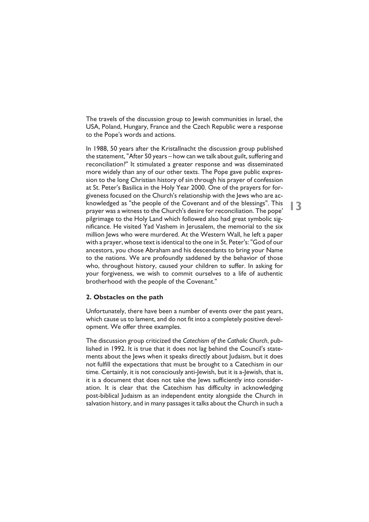The travels of the discussion group to Jewish communities in Israel, the USA, Poland, Hungary, France and the Czech Republic were a response to the Pope's words and actions.

In 1988, 50 years after the Kristallnacht the discussion group published the statement, "After 50 years – how can we talk about guilt, suffering and reconciliation?" It stimulated a greater response and was disseminated more widely than any of our other texts. The Pope gave public expression to the long Christian history of sin through his prayer of confession at St. Peter's Basilica in the Holy Year 2000. One of the prayers for forgiveness focused on the Church's relationship with the Jews who are acknowledged as "the people of the Covenant and of the blessings". This prayer was a witness to the Church's desire for reconciliation. The pope' pilgrimage to the Holy Land which followed also had great symbolic significance. He visited Yad Vashem in Jerusalem, the memorial to the six million Jews who were murdered. At the Western Wall, he left a paper with a prayer, whose text is identical to the one in St. Peter's: "God of our ancestors, you chose Abraham and his descendants to bring your Name to the nations. We are profoundly saddened by the behavior of those who, throughout history, caused your children to suffer. In asking for your forgiveness, we wish to commit ourselves to a life of authentic brotherhood with the people of the Covenant."

### **2. Obstacles on the path**

Unfortunately, there have been a number of events over the past years, which cause us to lament, and do not fit into a completely positive development. We offer three examples.

The discussion group criticized the *Catechism of the Catholic Church*, published in 1992. It is true that it does not lag behind the Council's statements about the Jews when it speaks directly about Judaism, but it does not fulfill the expectations that must be brought to a Catechism in our time. Certainly, it is not consciously anti-Jewish, but it is a-Jewish, that is, it is a document that does not take the Jews sufficiently into consideration. It is clear that the Catechism has difficulty in acknowledging post-biblical Judaism as an independent entity alongside the Church in salvation history, and in many passages it talks about the Church in such a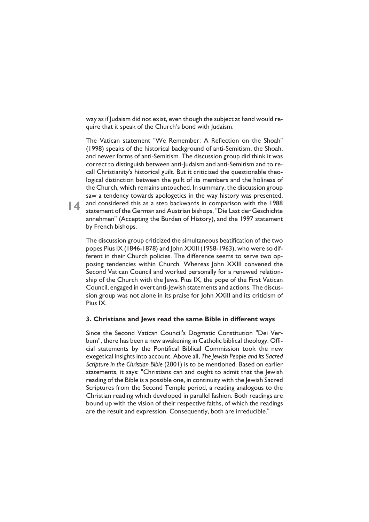way as if Judaism did not exist, even though the subject at hand would require that it speak of the Church's bond with Judaism.

The Vatican statement "We Remember: A Reflection on the Shoah" (1998) speaks of the historical background of anti-Semitism, the Shoah, and newer forms of anti-Semitism. The discussion group did think it was correct to distinguish between anti-Judaism and anti-Semitism and to recall Christianity's historical guilt. But it criticized the questionable theological distinction between the guilt of its members and the holiness of the Church, which remains untouched. In summary, the discussion group saw a tendency towards apologetics in the way history was presented, **14** and considered this as a step backwards in comparison with the 1988<br>statement of the German and Austrian bishops. "Die Last der Geschichte statement of the German and Austrian bishops, "Die Last der Geschichte annehmen" (Accepting the Burden of History), and the 1997 statement by French bishops.

The discussion group criticized the simultaneous beatification of the two popes Pius IX (1846-1878) and John XXIII (1958-1963), who were so different in their Church policies. The difference seems to serve two opposing tendencies within Church. Whereas John XXIII convened the Second Vatican Council and worked personally for a renewed relationship of the Church with the Jews, Pius IX, the pope of the First Vatican Council, engaged in overt anti-Jewish statements and actions. The discussion group was not alone in its praise for John XXIII and its criticism of Pius IX.

### **3. Christians and Jews read the same Bible in different ways**

Since the Second Vatican Council's Dogmatic Constitution "Dei Verbum", there has been a new awakening in Catholic biblical theology. Official statements by the Pontifical Biblical Commission took the new exegetical insights into account. Above all, *The Jewish People and its Sacred Scripture in the Christian Bible* (2001) is to be mentioned. Based on earlier statements, it says: "Christians can and ought to admit that the Jewish reading of the Bible is a possible one, in continuity with the Jewish Sacred Scriptures from the Second Temple period, a reading analogous to the Christian reading which developed in parallel fashion. Both readings are bound up with the vision of their respective faiths, of which the readings are the result and expression. Consequently, both are irreducible."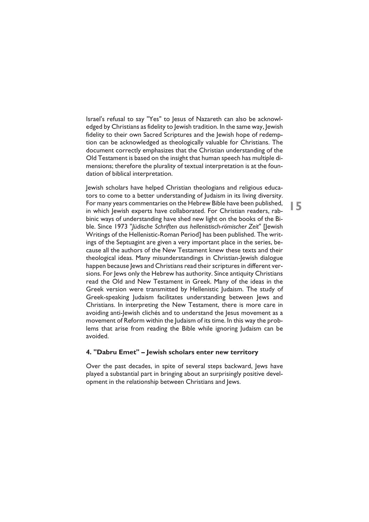Israel's refusal to say "Yes" to Jesus of Nazareth can also be acknowledged by Christians as fidelity to Jewish tradition. In the same way, Jewish fidelity to their own Sacred Scriptures and the Jewish hope of redemption can be acknowledged as theologically valuable for Christians. The document correctly emphasizes that the Christian understanding of the Old Testament is based on the insight that human speech has multiple dimensions; therefore the plurality of textual interpretation is at the foundation of biblical interpretation.

Jewish scholars have helped Christian theologians and religious educators to come to a better understanding of Judaism in its living diversity. For many years commentaries on the Hebrew Bible have been published, in which Jewish experts have collaborated. For Christian readers, rabbinic ways of understanding have shed new light on the books of the Bible. Since 1973 "*Jüdische Schriften aus hellenistisch-römischer Zeit*" [Jewish Writings of the Hellenistic-Roman Period] has been published. The writings of the Septuagint are given a very important place in the series, because all the authors of the New Testament knew these texts and their theological ideas. Many misunderstandings in Christian-Jewish dialogue happen because Jews and Christians read their scriptures in different versions. For Jews only the Hebrew has authority. Since antiquity Christians read the Old and New Testament in Greek. Many of the ideas in the Greek version were transmitted by Hellenistic Judaism. The study of Greek-speaking Judaism facilitates understanding between Jews and Christians. In interpreting the New Testament, there is more care in avoiding anti-Jewish clichés and to understand the Jesus movement as a movement of Reform within the Judaism of its time. In this way the problems that arise from reading the Bible while ignoring Judaism can be avoided.

### **4. "Dabru Emet" – Jewish scholars enter new territory**

Over the past decades, in spite of several steps backward, Jews have played a substantial part in bringing about an surprisingly positive development in the relationship between Christians and Jews.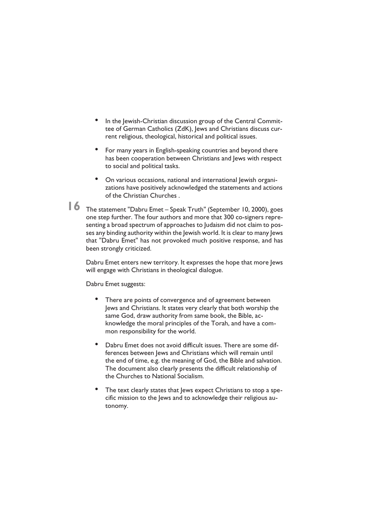- In the Jewish-Christian discussion group of the Central Committee of German Catholics (ZdK), Jews and Christians discuss current religious, theological, historical and political issues.
- For many years in English-speaking countries and beyond there has been cooperation between Christians and Jews with respect to social and political tasks.
- On various occasions, national and international Jewish organizations have positively acknowledged the statements and actions of the Christian Churches .

The statement "Dabru Emet – Speak Truth" (September 10, 2000), goes **16**one step further. The four authors and more that 300 co-signers representing a broad spectrum of approaches to Judaism did not claim to posses any binding authority within the Jewish world. It is clear to many Jews that "Dabru Emet" has not provoked much positive response, and has been strongly criticized.

Dabru Emet enters new territory. It expresses the hope that more Jews will engage with Christians in theological dialogue.

Dabru Emet suggests:

- There are points of convergence and of agreement between Jews and Christians. It states very clearly that both worship the same God, draw authority from same book, the Bible, acknowledge the moral principles of the Torah, and have a common responsibility for the world.
- Dabru Emet does not avoid difficult issues. There are some differences between Jews and Christians which will remain until the end of time, e.g. the meaning of God, the Bible and salvation. The document also clearly presents the difficult relationship of the Churches to National Socialism.
- The text clearly states that lews expect Christians to stop a specific mission to the Jews and to acknowledge their religious autonomy.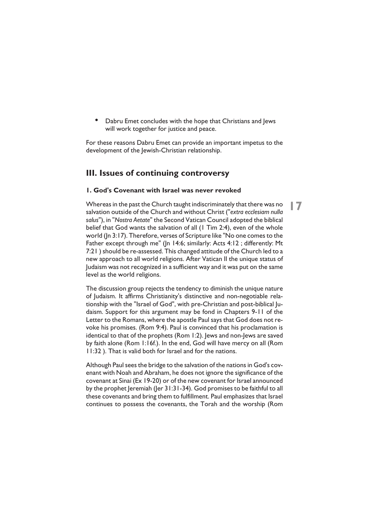• Dabru Emet concludes with the hope that Christians and Jews will work together for justice and peace.

For these reasons Dabru Emet can provide an important impetus to the development of the Jewish-Christian relationship.

### **III. Issues of continuing controversy**

### **1. God's Covenant with Israel was never revoked**

Whereas in the past the Church taught indiscriminately that there was no salvation outside of the Church and without Christ ("*extra ecclesiam nulla salus*"), in "*Nostra Aetate*" the Second Vatican Council adopted the biblical belief that God wants the salvation of all (1 Tim 2:4), even of the whole world (Jn 3:17). Therefore, verses of Scripture like "No one comes to the Father except through me" (Jn 14:6; similarly: Acts 4:12 ; differently: Mt 7:21 ) should be re-assessed. This changed attitude of the Church led to a new approach to all world religions. After Vatican II the unique status of Judaism was not recognized in a sufficient way and it was put on the same level as the world religions.

The discussion group rejects the tendency to diminish the unique nature of Judaism. It affirms Christianity's distinctive and non-negotiable relationship with the "Israel of God", with pre-Christian and post-biblical Judaism. Support for this argument may be fond in Chapters 9-11 of the Letter to the Romans, where the apostle Paul says that God does not revoke his promises. (Rom 9:4). Paul is convinced that his proclamation is identical to that of the prophets (Rom 1:2). Jews and non-Jews are saved by faith alone (Rom 1:16f.). In the end, God will have mercy on all (Rom 11:32 ). That is valid both for Israel and for the nations.

Although Paul sees the bridge to the salvation of the nations in God's covenant with Noah and Abraham, he does not ignore the significance of the covenant at Sinai (Ex 19-20) or of the new covenant for Israel announced by the prophet Jeremiah (Jer 31:31-34). God promises to be faithful to all these covenants and bring them to fulfillment. Paul emphasizes that Israel continues to possess the covenants, the Torah and the worship (Rom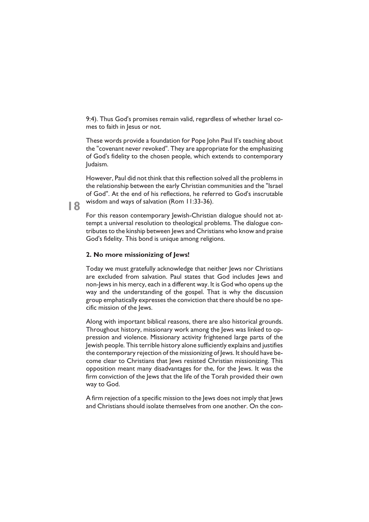9:4). Thus God's promises remain valid, regardless of whether Israel comes to faith in Jesus or not.

These words provide a foundation for Pope John Paul II's teaching about the "covenant never revoked". They are appropriate for the emphasizing of God's fidelity to the chosen people, which extends to contemporary Judaism.

However, Paul did not think that this reflection solved all the problems in the relationship between the early Christian communities and the "Israel of God". At the end of his reflections, he referred to God's inscrutable wisdom and ways of salvation (Rom 11:33-36).

For this reason contemporary Jewish-Christian dialogue should not attempt a universal resolution to theological problems. The dialogue contributes to the kinship between Jews and Christians who know and praise God's fidelity. This bond is unique among religions.

### **2. No more missionizing of Jews!**

Today we must gratefully acknowledge that neither Jews nor Christians are excluded from salvation. Paul states that God includes Jews and non-Jews in his mercy, each in a different way. It is God who opens up the way and the understanding of the gospel. That is why the discussion group emphatically expresses the conviction that there should be no specific mission of the Jews.

Along with important biblical reasons, there are also historical grounds. Throughout history, missionary work among the Jews was linked to oppression and violence. Missionary activity frightened large parts of the Jewish people. This terrible history alone sufficiently explains and justifies the contemporary rejection of the missionizing of Jews. It should have become clear to Christians that Jews resisted Christian missionizing. This opposition meant many disadvantages for the, for the Jews. It was the firm conviction of the Jews that the life of the Torah provided their own way to God.

A firm rejection of a specific mission to the lews does not imply that lews and Christians should isolate themselves from one another. On the con-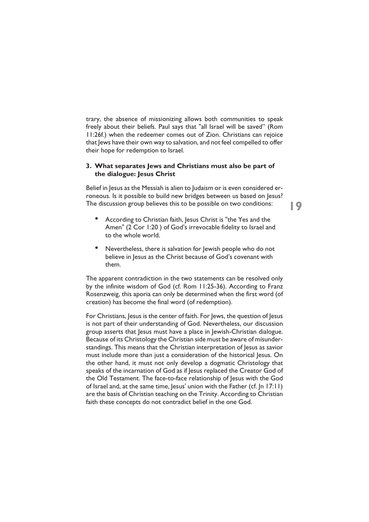trary, the absence of missionizing allows both communities to speak freely about their beliefs. Paul says that "all Israel will be saved" (Rom 11:26f.) when the redeemer comes out of Zion. Christians can rejoice that Jews have their own way to salvation, and not feel compelled to offer their hope for redemption to Israel.

### **3. What separates Jews and Christians must also be part of the dialogue: Jesus Christ**

Belief in Jesus as the Messiah is alien to Judaism or is even considered erroneous. Is it possible to build new bridges between us based on Jesus? The discussion group believes this to be possible on two conditions:

- According to Christian faith, Jesus Christ is "the Yes and the Amen" (2 Cor 1:20) of God's irrevocable fidelity to Israel and to the whole world.
- Nevertheless, there is salvation for lewish people who do not believe in Jesus as the Christ because of God's covenant with them.

The apparent contradiction in the two statements can be resolved only by the infinite wisdom of God (cf. Rom 11:25-36). According to Franz Rosenzweig, this aporia can only be determined when the first word (of creation) has become the final word (of redemption).

For Christians, Jesus is the center of faith. For Jews, the question of Jesus is not part of their understanding of God. Nevertheless, our discussion group asserts that Jesus must have a place in Jewish-Christian dialogue. Because of its Christology the Christian side must be aware of misunderstandings. This means that the Christian interpretation of Jesus as savior must include more than just a consideration of the historical Jesus. On the other hand, it must not only develop a dogmatic Christology that speaks of the incarnation of God as if Jesus replaced the Creator God of the Old Testament. The face-to-face relationship of Jesus with the God of Israel and, at the same time, Jesus' union with the Father (cf. Jn 17:11) are the basis of Christian teaching on the Trinity. According to Christian faith these concepts do not contradict belief in the one God.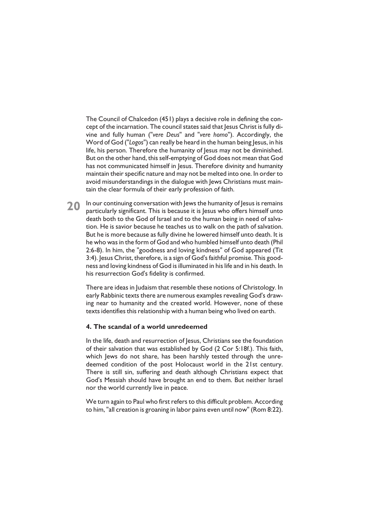The Council of Chalcedon (451) plays a decisive role in defining the concept of the incarnation. The council states said that Jesus Christ is fully divine and fully human ("*vere Deus*" and "*vere homo*"). Accordingly, the Word of God ("*Logos*") can really be heard in the human being Jesus, in his life, his person. Therefore the humanity of Jesus may not be diminished. But on the other hand, this self-emptying of God does not mean that God has not communicated himself in Jesus. Therefore divinity and humanity maintain their specific nature and may not be melted into one. In order to avoid misunderstandings in the dialogue with Jews Christians must maintain the clear formula of their early profession of faith.

**20** In our continuing conversation with Jews the humanity of Jesus is remains particularly significant. This is because it is lesus who offers himself unto particularly significant. This is because it is Jesus who offers himself unto death both to the God of Israel and to the human being in need of salvation. He is savior because he teaches us to walk on the path of salvation. But he is more because as fully divine he lowered himself unto death. It is he who was in the form of God and who humbled himself unto death (Phil 2:6-8). In him, the "goodness and loving kindness" of God appeared (Tit 3:4). Jesus Christ, therefore, is a sign of God's faithful promise. This goodness and loving kindness of God is illuminated in his life and in his death. In his resurrection God's fidelity is confirmed.

There are ideas in Judaism that resemble these notions of Christology. In early Rabbinic texts there are numerous examples revealing God's drawing near to humanity and the created world. However, none of these texts identifies this relationship with a human being who lived on earth.

### **4. The scandal of a world unredeemed**

In the life, death and resurrection of Jesus, Christians see the foundation of their salvation that was established by God (2 Cor 5:18f.). This faith, which Jews do not share, has been harshly tested through the unredeemed condition of the post Holocaust world in the 21st century. There is still sin, suffering and death although Christians expect that God's Messiah should have brought an end to them. But neither Israel nor the world currently live in peace.

We turn again to Paul who first refers to this difficult problem. According to him, "all creation is groaning in labor pains even until now" (Rom 8:22).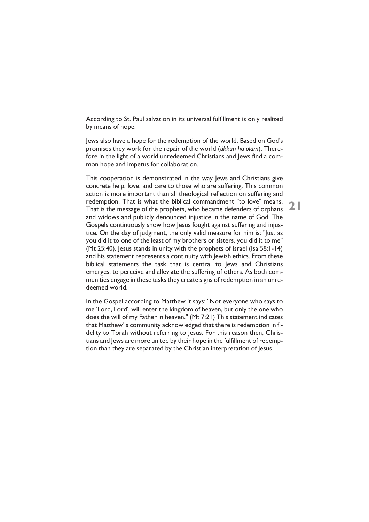According to St. Paul salvation in its universal fulfillment is only realized by means of hope.

Jews also have a hope for the redemption of the world. Based on God's promises they work for the repair of the world (*tikkun ha olam*). Therefore in the light of a world unredeemed Christians and Jews find a common hope and impetus for collaboration.

This cooperation is demonstrated in the way Jews and Christians give concrete help, love, and care to those who are suffering. This common action is more important than all theological reflection on suffering and redemption. That is what the biblical commandment "to love" means. That is the message of the prophets, who became defenders of orphans and widows and publicly denounced injustice in the name of God. The Gospels continuously show how Jesus fought against suffering and injustice. On the day of judgment, the only valid measure for him is: "Just as you did it to one of the least of my brothers or sisters, you did it to me" (Mt 25:40). Jesus stands in unity with the prophets of Israel (Isa 58:1-14) and his statement represents a continuity with Jewish ethics. From these biblical statements the task that is central to Jews and Christians emerges: to perceive and alleviate the suffering of others. As both communities engage in these tasks they create signs of redemption in an unredeemed world.

**21**

In the Gospel according to Matthew it says: "Not everyone who says to me 'Lord, Lord', will enter the kingdom of heaven, but only the one who does the will of my Father in heaven." (Mt 7:21) This statement indicates that Matthew' s community acknowledged that there is redemption in fidelity to Torah without referring to Jesus. For this reason then, Christians and Jews are more united by their hope in the fulfillment of redemption than they are separated by the Christian interpretation of Jesus.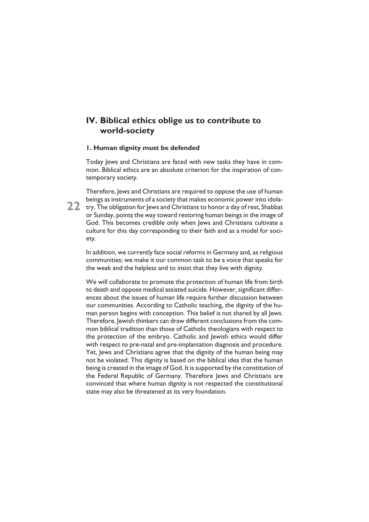### **IV. Biblical ethics oblige us to contribute to world-society**

### **1. Human dignity must be defended**

Today Jews and Christians are faced with new tasks they have in common. Biblical ethics are an absolute criterion for the inspiration of contemporary society.

Therefore, Jews and Christians are required to oppose the use of human beings as instruments of a society that makes economic power into idola-22 try. The obligation for Jews and Christians to honor a day of rest, Shabbat or Sunday, points the way toward restoring human beings in the image of God. This becomes credible only when Jews and Christians cultivate a culture for this day corresponding to their faith and as a model for society.

In addition, we currently face social reforms in Germany and, as religious communities; we make it our common task to be a voice that speaks for the weak and the helpless and to insist that they live with dignity.

We will collaborate to promote the protection of human life from birth to death and oppose medical assisted suicide. However, significant differences about the issues of human life require further discussion between our communities. According to Catholic teaching, the dignity of the human person begins with conception. This belief is not shared by all Jews. Therefore, Jewish thinkers can draw different conclusions from the common biblical tradition than those of Catholic theologians with respect to the protection of the embryo. Catholic and Jewish ethics would differ with respect to pre-natal and pre-implantation diagnosis and procedure. Yet, Jews and Christians agree that the dignity of the human being may not be violated. This dignity is based on the biblical idea that the human being is created in the image of God. It is supported by the constitution of the Federal Republic of Germany. Therefore Jews and Christians are convinced that where human dignity is not respected the constitutional state may also be threatened at its very foundation.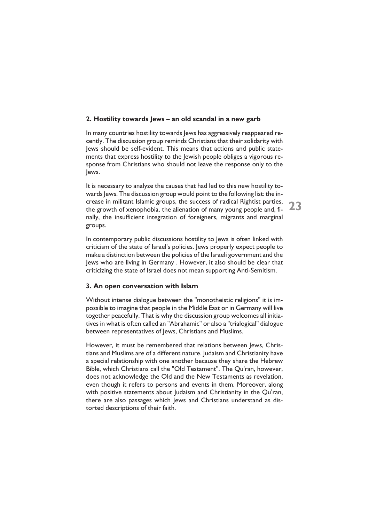### **2. Hostility towards Jews – an old scandal in a new garb**

In many countries hostility towards Jews has aggressively reappeared recently. The discussion group reminds Christians that their solidarity with Jews should be self-evident. This means that actions and public statements that express hostility to the Jewish people obliges a vigorous response from Christians who should not leave the response only to the Jews.

It is necessary to analyze the causes that had led to this new hostility towards Jews. The discussion group would point to the following list: the increase in militant Islamic groups, the success of radical Rightist parties, the growth of xenophobia, the alienation of many young people and, finally, the insufficient integration of foreigners, migrants and marginal groups.

**23**

In contemporary public discussions hostility to Jews is often linked with criticism of the state of Israel's policies. Jews properly expect people to make a distinction between the policies of the Israeli government and the Jews who are living in Germany . However, it also should be clear that criticizing the state of Israel does not mean supporting Anti-Semitism.

### **3. An open conversation with Islam**

Without intense dialogue between the "monotheistic religions" it is impossible to imagine that people in the Middle East or in Germany will live together peacefully. That is why the discussion group welcomes all initiatives in what is often called an "Abrahamic" or also a "trialogical" dialogue between representatives of Jews, Christians and Muslims.

However, it must be remembered that relations between Jews, Christians and Muslims are of a different nature. Judaism and Christianity have a special relationship with one another because they share the Hebrew Bible, which Christians call the "Old Testament". The Qu'ran, however, does not acknowledge the Old and the New Testaments as revelation, even though it refers to persons and events in them. Moreover, along with positive statements about Judaism and Christianity in the Qu'ran, there are also passages which Jews and Christians understand as distorted descriptions of their faith.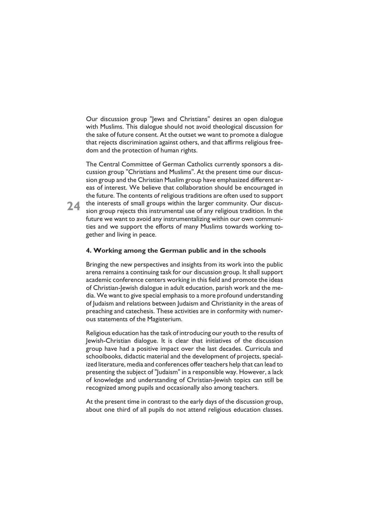Our discussion group "Jews and Christians" desires an open dialogue with Muslims. This dialogue should not avoid theological discussion for the sake of future consent. At the outset we want to promote a dialogue that rejects discrimination against others, and that affirms religious freedom and the protection of human rights.

The Central Committee of German Catholics currently sponsors a discussion group "Christians and Muslims". At the present time our discussion group and the Christian Muslim group have emphasized different areas of interest. We believe that collaboration should be encouraged in the future. The contents of religious traditions are often used to support 24 the interests of small groups within the larger community. Our discus-<br>sion group rejects this instrumental use of any religious tradition. In the sion group rejects this instrumental use of any religious tradition. In the future we want to avoid any instrumentalizing within our own communities and we support the efforts of many Muslims towards working together and living in peace.

### **4. Working among the German public and in the schools**

Bringing the new perspectives and insights from its work into the public arena remains a continuing task for our discussion group. It shall support academic conference centers working in this field and promote the ideas of Christian-Jewish dialogue in adult education, parish work and the media. We want to give special emphasis to a more profound understanding of Judaism and relations between Judaism and Christianity in the areas of preaching and catechesis. These activities are in conformity with numerous statements of the Magisterium.

Religious education has the task of introducing our youth to the results of Jewish-Christian dialogue. It is clear that initiatives of the discussion group have had a positive impact over the last decades. Curricula and schoolbooks, didactic material and the development of projects, specialized literature, media and conferences offer teachers help that can lead to presenting the subject of "Judaism" in a responsible way. However, a lack of knowledge and understanding of Christian-Jewish topics can still be recognized among pupils and occasionally also among teachers.

At the present time in contrast to the early days of the discussion group, about one third of all pupils do not attend religious education classes.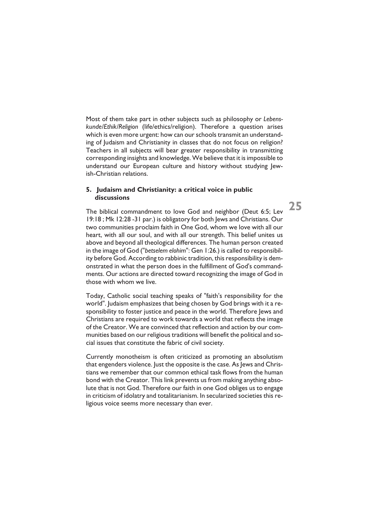Most of them take part in other subjects such as philosophy or *Lebenskunde/Ethik/Religion* (life/ethics/religion). Therefore a question arises which is even more urgent: how can our schools transmit an understanding of Judaism and Christianity in classes that do not focus on religion? Teachers in all subjects will bear greater responsibility in transmitting corresponding insights and knowledge. We believe that it is impossible to understand our European culture and history without studying Jewish-Christian relations.

### **5. Judaism and Christianity: a critical voice in public discussions**

The biblical commandment to love God and neighbor (Deut 6:5; Lev 19:18 ; Mk 12:28 -31 par.) is obligatory for both Jews and Christians. Our two communities proclaim faith in One God, whom we love with all our heart, with all our soul, and with all our strength. This belief unites us above and beyond all theological differences. The human person created in the image of God ("*betselem elohim*": Gen 1:26.) is called to responsibility before God. According to rabbinic tradition, this responsibility is demonstrated in what the person does in the fulfillment of God's commandments. Our actions are directed toward recognizing the image of God in those with whom we live.

Today, Catholic social teaching speaks of "faith's responsibility for the world". Judaism emphasizes that being chosen by God brings with it a responsibility to foster justice and peace in the world. Therefore Jews and Christians are required to work towards a world that reflects the image of the Creator. We are convinced that reflection and action by our communities based on our religious traditions will benefit the political and social issues that constitute the fabric of civil society.

Currently monotheism is often criticized as promoting an absolutism that engenders violence. Just the opposite is the case. As Jews and Christians we remember that our common ethical task flows from the human bond with the Creator. This link prevents us from making anything absolute that is not God. Therefore our faith in one God obliges us to engage in criticism of idolatry and totalitarianism. In secularized societies this religious voice seems more necessary than ever.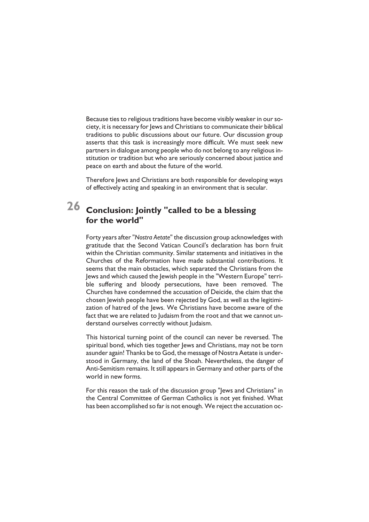Because ties to religious traditions have become visibly weaker in our society, it is necessary for Jews and Christians to communicate their biblical traditions to public discussions about our future. Our discussion group asserts that this task is increasingly more difficult. We must seek new partners in dialogue among people who do not belong to any religious institution or tradition but who are seriously concerned about justice and peace on earth and about the future of the world.

Therefore Jews and Christians are both responsible for developing ways of effectively acting and speaking in an environment that is secular.

## **Conclusion: Jointly "called to be a blessing 26for the world"**

Forty years after "*Nostra Aetate*" the discussion group acknowledges with gratitude that the Second Vatican Council's declaration has born fruit within the Christian community. Similar statements and initiatives in the Churches of the Reformation have made substantial contributions. It seems that the main obstacles, which separated the Christians from the Jews and which caused the Jewish people in the "Western Europe" terrible suffering and bloody persecutions, have been removed. The Churches have condemned the accusation of Deicide, the claim that the chosen Jewish people have been rejected by God, as well as the legitimization of hatred of the Jews. We Christians have become aware of the fact that we are related to Judaism from the root and that we cannot understand ourselves correctly without Judaism.

This historical turning point of the council can never be reversed. The spiritual bond, which ties together Jews and Christians, may not be torn asunder again! Thanks be to God, the message of Nostra Aetate is understood in Germany, the land of the Shoah. Nevertheless, the danger of Anti-Semitism remains. It still appears in Germany and other parts of the world in new forms.

For this reason the task of the discussion group "Jews and Christians" in the Central Committee of German Catholics is not yet finished. What has been accomplished so far is not enough. We reject the accusation oc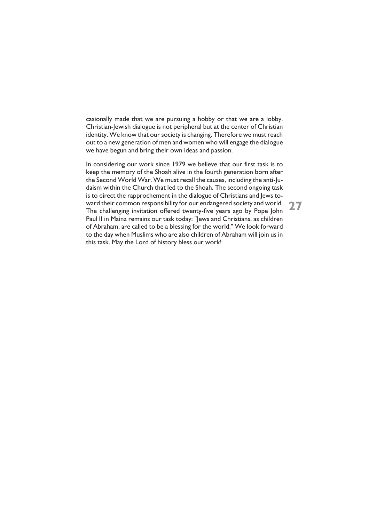casionally made that we are pursuing a hobby or that we are a lobby. Christian-Jewish dialogue is not peripheral but at the center of Christian identity. We know that our society is changing. Therefore we must reach out to a new generation of men and women who will engage the dialogue we have begun and bring their own ideas and passion.

In considering our work since 1979 we believe that our first task is to keep the memory of the Shoah alive in the fourth generation born after the Second World War. We must recall the causes, including the anti-Judaism within the Church that led to the Shoah. The second ongoing task is to direct the rapprochement in the dialogue of Christians and Jews toward their common responsibility for our endangered society and world. The challenging invitation offered twenty-five years ago by Pope John Paul II in Mainz remains our task today: "Jews and Christians, as children of Abraham, are called to be a blessing for the world." We look forward to the day when Muslims who are also children of Abraham will join us in this task. May the Lord of history bless our work!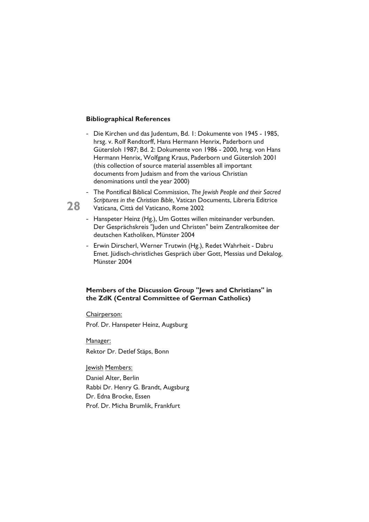### **Bibliographical References**

- Die Kirchen und das Judentum, Bd. 1: Dokumente von 1945 1985, hrsg. v. Rolf Rendtorff, Hans Hermann Henrix, Paderborn und Gütersloh 1987; Bd. 2: Dokumente von 1986 - 2000, hrsg. von Hans Hermann Henrix, Wolfgang Kraus, Paderborn und Gütersloh 2001 (this collection of source material assembles all important documents from Judaism and from the various Christian denominations until the year 2000)
- The Pontifical Biblical Commission, *The Jewish People and their Sacred Scriptures in the Christian Bible*, Vatican Documents, Libreria Editrice Vaticana, Città del Vaticano, Rome 2002
- Hanspeter Heinz (Hg.), Um Gottes willen miteinander verbunden. Der Gesprächskreis "Juden und Christen" beim Zentralkomitee der deutschen Katholiken, Münster 2004
- Erwin Dirscherl, Werner Trutwin (Hg.), Redet Wahrheit Dabru Emet. Jüdisch-christliches Gespräch über Gott, Messias und Dekalog, Münster 2004

### **Members of the Discussion Group "Jews and Christians" in the ZdK (Central Committee of German Catholics)**

Chairperson:

Prof. Dr. Hanspeter Heinz, Augsburg

Manager: Rektor Dr. Detlef Stäps, Bonn

Jewish Members:

Daniel Alter, Berlin Rabbi Dr. Henry G. Brandt, Augsburg Dr. Edna Brocke, Essen Prof. Dr. Micha Brumlik, Frankfurt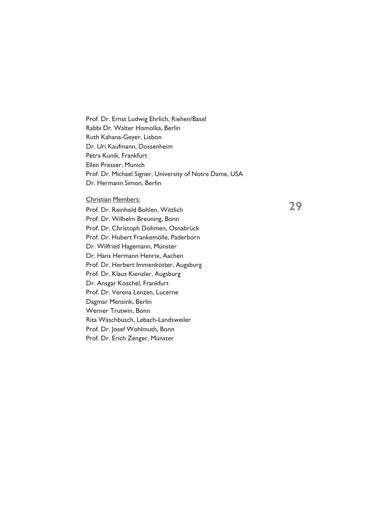Prof. Dr. Ernst Ludwig Ehrlich, Riehen/Basel Rabbi Dr. Walter Homolka, Berlin Ruth Kahana-Geyer, Lisbon Dr. Uri Kaufmann, Dossenheim Petra Kunik, Frankfurt Ellen Presser, Munich Prof. Dr. Michael Signer, University of Notre Dame, USA Dr. Hermann Simon, Berlin

#### Christian Members:

Prof. Dr. Reinhold Bohlen, Wittlich Prof. Dr. Wilhelm Breuning, Bonn Prof. Dr. Christoph Dohmen, Osnabrück Prof. Dr. Hubert Frankemölle, Paderborn Dr. Wilfried Hagemann, Münster Dr. Hans Hermann Henrix, Aachen Prof. Dr. Herbert Immenkötter, Augsburg Prof. Dr. Klaus Kienzler, Augsburg Dr. Ansgar Koschel, Frankfurt Prof. Dr. Verena Lenzen, Lucerne Dagmar Mensink, Berlin Werner Trutwin, Bonn Rita Waschbüsch, Lebach-Landsweiler Prof. Dr. Josef Wohlmuth, Bonn Prof. Dr. Erich Zenger, Münster